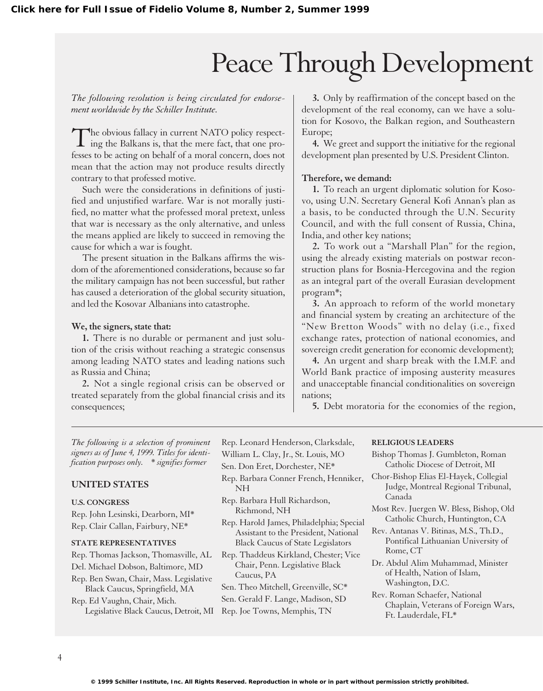# Peace Through Development

*The following resolution is being circulated for endorsement worldwide by the Schiller Institute.*

The obvious fallacy in current NATO policy respecting the Balkans is, that the mere fact, that one professes to be acting on behalf of a moral concern, does not mean that the action may not produce results directly contrary to that professed motive.

Such were the considerations in definitions of justified and unjustified warfare. War is not morally justified, no matter what the professed moral pretext, unless that war is necessary as the only alternative, and unless the means applied are likely to succeed in removing the cause for which a war is fought.

The present situation in the Balkans affirms the wisdom of the aforementioned considerations, because so far the military campaign has not been successful, but rather has caused a deterioration of the global security situation, and led the Kosovar Albanians into catastrophe.

#### **We, the signers, state that:**

**1.** There is no durable or permanent and just solution of the crisis without reaching a strategic consensus among leading NATO states and leading nations such as Russia and China;

**2.** Not a single regional crisis can be observed or treated separately from the global financial crisis and its consequences;

**3.** Only by reaffirmation of the concept based on the development of the real economy, can we have a solution for Kosovo, the Balkan region, and Southeastern Europe;

**4.** We greet and support the initiative for the regional development plan presented by U.S. President Clinton.

## **Therefore, we demand:**

**1.** To reach an urgent diplomatic solution for Kosovo, using U.N. Secretary General Kofi Annan's plan as a basis, to be conducted through the U.N. Security Council, and with the full consent of Russia, China, India, and other key nations;

**2.** To work out a "Marshall Plan" for the region, using the already existing materials on postwar reconstruction plans for Bosnia-Hercegovina and the region as an integral part of the overall Eurasian development program\*;

**3.** An approach to reform of the world monetary and financial system by creating an architecture of the "New Bretton Woods" with no delay (i.e., fixed exchange rates, protection of national economies, and sovereign credit generation for economic development);

**4.** An urgent and sharp break with the I.M.F. and World Bank practice of imposing austerity measures and unacceptable financial conditionalities on sovereign nations;

**5.** Debt moratoria for the economies of the region,

*The following is a selection of prominent signers as of June 4, 1999. Titles for identification purposes only.* \* *signifies former*

## **UNITED STATES**

#### **U.S. CONGRESS**

Rep. John Lesinski, Dearborn, MI\* Rep. Clair Callan, Fairbury, NE\*

#### **STATE REPRESENTATIVES**

Rep. Thomas Jackson, Thomasville, AL Del. Michael Dobson, Baltimore, MD Rep. Ben Swan, Chair, Mass. Legislative Black Caucus, Springfield, MA Rep. Ed Vaughn, Chair, Mich. Legislative Black Caucus, Detroit, MI Rep. Joe Towns, Memphis, TN

Rep. Leonard Henderson, Clarksdale, William L. Clay, Jr., St. Louis, MO Sen. Don Eret, Dorchester, NE\*

- Rep. Barbara Conner French, Henniker, NH
- Rep. Barbara Hull Richardson, Richmond, NH
- Rep. Harold James, Philadelphia; Special Assistant to the President, National Black Caucus of State Legislators

Rep. Thaddeus Kirkland, Chester; Vice Chair, Penn. Legislative Black Caucus, PA

Sen. Theo Mitchell, Greenville, SC\* Sen. Gerald F. Lange, Madison, SD

#### **RELIGIOUS LEADERS**

- Bishop Thomas J. Gumbleton, Roman Catholic Diocese of Detroit, MI Chor-Bishop Elias El-Hayek, Collegial Judge, Montreal Regional Tribunal, Canada Most Rev. Juergen W. Bless, Bishop, Old Catholic Church, Huntington, CA Rev. Antanas V. Bitinas, M.S., Th.D., Pontifical Lithuanian University of Rome, CT
- Dr. Abdul Alim Muhammad, Minister of Health, Nation of Islam, Washington, D.C.
- Rev. Roman Schaefer, National Chaplain, Veterans of Foreign Wars, Ft. Lauderdale, FL\*